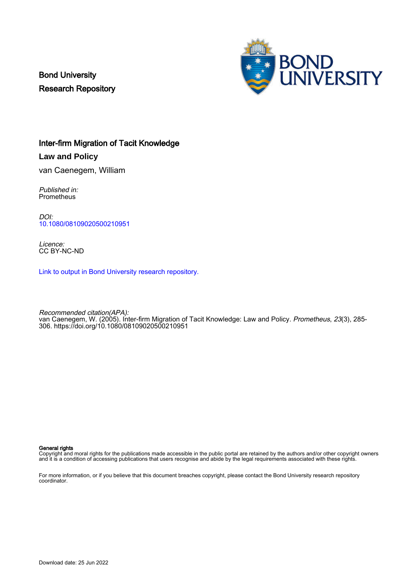Bond University Research Repository



# Inter‐firm Migration of Tacit Knowledge

**Law and Policy**

van Caenegem, William

Published in: **Prometheus** 

DOI: [10.1080/08109020500210951](https://doi.org/10.1080/08109020500210951)

Licence: CC BY-NC-ND

[Link to output in Bond University research repository.](https://research.bond.edu.au/en/publications/4abd7219-6270-4d57-9713-79a6f9a5b125)

Recommended citation(APA): van Caenegem, W. (2005). Inter‐firm Migration of Tacit Knowledge: Law and Policy. Prometheus, 23(3), 285- 306.<https://doi.org/10.1080/08109020500210951>

#### General rights

Copyright and moral rights for the publications made accessible in the public portal are retained by the authors and/or other copyright owners and it is a condition of accessing publications that users recognise and abide by the legal requirements associated with these rights.

For more information, or if you believe that this document breaches copyright, please contact the Bond University research repository coordinator.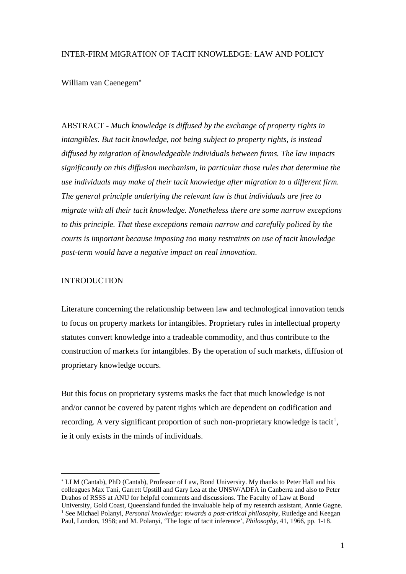#### INTER-FIRM MIGRATION OF TACIT KNOWLEDGE: LAW AND POLICY

William van Caenegem[∗](#page-1-0)

ABSTRACT - *Much knowledge is diffused by the exchange of property rights in intangibles. But tacit knowledge, not being subject to property rights, is instead diffused by migration of knowledgeable individuals between firms. The law impacts significantly on this diffusion mechanism, in particular those rules that determine the use individuals may make of their tacit knowledge after migration to a different firm. The general principle underlying the relevant law is that individuals are free to migrate with all their tacit knowledge. Nonetheless there are some narrow exceptions to this principle. That these exceptions remain narrow and carefully policed by the courts is important because imposing too many restraints on use of tacit knowledge post-term would have a negative impact on real innovation*.

## INTRODUCTION

-

Literature concerning the relationship between law and technological innovation tends to focus on property markets for intangibles. Proprietary rules in intellectual property statutes convert knowledge into a tradeable commodity, and thus contribute to the construction of markets for intangibles. By the operation of such markets, diffusion of proprietary knowledge occurs.

But this focus on proprietary systems masks the fact that much knowledge is not and/or cannot be covered by patent rights which are dependent on codification and recording. A very significant proportion of such non-proprietary knowledge is tacit<sup>[1](#page-1-1)</sup>, ie it only exists in the minds of individuals.

<span id="page-1-1"></span><span id="page-1-0"></span><sup>∗</sup> LLM (Cantab), PhD (Cantab), Professor of Law, Bond University. My thanks to Peter Hall and his colleagues Max Tani, Garrett Upstill and Gary Lea at the UNSW/ADFA in Canberra and also to Peter Drahos of RSSS at ANU for helpful comments and discussions. The Faculty of Law at Bond University, Gold Coast, Queensland funded the invaluable help of my research assistant, Annie Gagne. <sup>1</sup> See Michael Polanyi, *Personal knowledge: towards a post-critical philosophy,* Rutledge and Keegan Paul, London, 1958; and M. Polanyi, 'The logic of tacit inference', *Philosophy,* 41, 1966, pp. 1-18.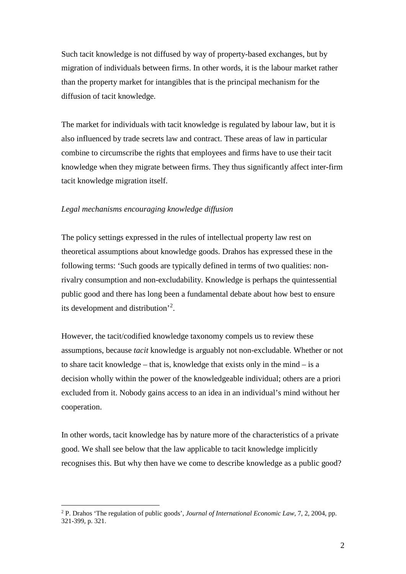Such tacit knowledge is not diffused by way of property-based exchanges, but by migration of individuals between firms. In other words, it is the labour market rather than the property market for intangibles that is the principal mechanism for the diffusion of tacit knowledge.

The market for individuals with tacit knowledge is regulated by labour law, but it is also influenced by trade secrets law and contract. These areas of law in particular combine to circumscribe the rights that employees and firms have to use their tacit knowledge when they migrate between firms. They thus significantly affect inter-firm tacit knowledge migration itself.

#### *Legal mechanisms encouraging knowledge diffusion*

The policy settings expressed in the rules of intellectual property law rest on theoretical assumptions about knowledge goods. Drahos has expressed these in the following terms: 'Such goods are typically defined in terms of two qualities: nonrivalry consumption and non-excludability. Knowledge is perhaps the quintessential public good and there has long been a fundamental debate about how best to ensure its development and distribution'[2](#page-2-0) .

However, the tacit/codified knowledge taxonomy compels us to review these assumptions, because *tacit* knowledge is arguably not non-excludable. Whether or not to share tacit knowledge – that is, knowledge that exists only in the mind – is a decision wholly within the power of the knowledgeable individual; others are a priori excluded from it. Nobody gains access to an idea in an individual's mind without her cooperation.

In other words, tacit knowledge has by nature more of the characteristics of a private good. We shall see below that the law applicable to tacit knowledge implicitly recognises this. But why then have we come to describe knowledge as a public good?

<span id="page-2-0"></span> <sup>2</sup> P. Drahos 'The regulation of public goods', *Journal of International Economic Law*, 7, 2, 2004, pp. 321-399, p. 321.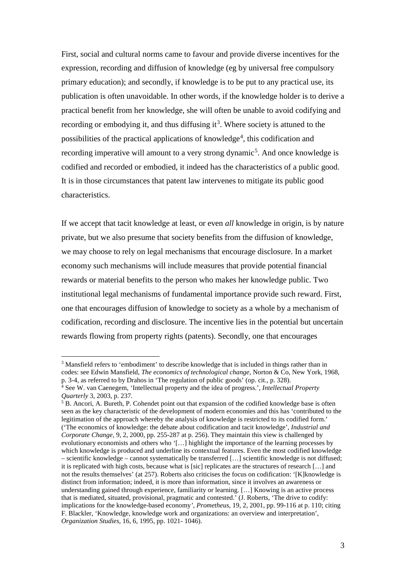First, social and cultural norms came to favour and provide diverse incentives for the expression, recording and diffusion of knowledge (eg by universal free compulsory primary education); and secondly, if knowledge is to be put to any practical use, its publication is often unavoidable. In other words, if the knowledge holder is to derive a practical benefit from her knowledge, she will often be unable to avoid codifying and recording or embodying it, and thus diffusing it<sup>[3](#page-3-0)</sup>. Where society is attuned to the possibilities of the practical applications of knowledge<sup>[4](#page-3-1)</sup>, this codification and recording imperative will amount to a very strong dynamic<sup>[5](#page-3-2)</sup>. And once knowledge is codified and recorded or embodied, it indeed has the characteristics of a public good. It is in those circumstances that patent law intervenes to mitigate its public good characteristics.

If we accept that tacit knowledge at least, or even *all* knowledge in origin, is by nature private, but we also presume that society benefits from the diffusion of knowledge, we may choose to rely on legal mechanisms that encourage disclosure. In a market economy such mechanisms will include measures that provide potential financial rewards or material benefits to the person who makes her knowledge public. Two institutional legal mechanisms of fundamental importance provide such reward. First, one that encourages diffusion of knowledge to society as a whole by a mechanism of codification, recording and disclosure. The incentive lies in the potential but uncertain rewards flowing from property rights (patents). Secondly, one that encourages

<span id="page-3-0"></span><sup>&</sup>lt;sup>3</sup> Mansfield refers to 'embodiment' to describe knowledge that is included in things rather than in codes: see Edwin Mansfield, *The economics of technological change*, Norton & Co, New York, 1968,

<span id="page-3-1"></span>p. 3-4, as referred to by Drahos in 'The regulation of public goods' (op. cit., p. 328). 4 See W. van Caenegem, 'Intellectual property and the idea of progress.', *Intellectual Property Quarterly* 3, 2003, p. 237.

<span id="page-3-2"></span> $5$  B. Ancori, A. Bureth, P. Cohendet point out that expansion of the codified knowledge base is often seen as the key characteristic of the development of modern economies and this has 'contributed to the legitimation of the approach whereby the analysis of knowledge is restricted to its codified form.' ('The economics of knowledge: the debate about codification and tacit knowledge', *Industrial and Corporate Change*, 9, 2, 2000, pp. 255-287 at p. 256). They maintain this view is challenged by evolutionary economists and others who '[…] highlight the importance of the learning processes by which knowledge is produced and underline its contextual features. Even the most codified knowledge – scientific knowledge – cannot systematically be transferred […] scientific knowledge is not diffused; it is replicated with high costs, because what is [sic] replicates are the structures of research […] and not the results themselves' (at 257). Roberts also criticises the focus on codification: '[K]knowledge is distinct from information; indeed, it is more than information, since it involves an awareness or understanding gained through experience, familiarity or learning. […] Knowing is an active process that is mediated, situated, provisional, pragmatic and contested.' (J. Roberts, 'The drive to codify: implications for the knowledge-based economy*', Prometheus*, 19, 2, 2001, pp. 99-116 at p. 110; citing F. Blackler, 'Knowledge, knowledge work and organizations: an overview and interpretation', *Organization Studies*, 16, 6, 1995, pp. 1021- 1046).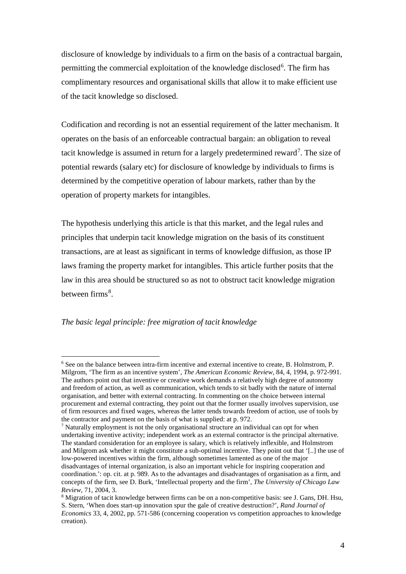disclosure of knowledge by individuals to a firm on the basis of a contractual bargain, permitting the commercial exploitation of the knowledge disclosed<sup>[6](#page-4-0)</sup>. The firm has complimentary resources and organisational skills that allow it to make efficient use of the tacit knowledge so disclosed.

Codification and recording is not an essential requirement of the latter mechanism. It operates on the basis of an enforceable contractual bargain: an obligation to reveal tacit knowledge is assumed in return for a largely predetermined reward<sup>[7](#page-4-1)</sup>. The size of potential rewards (salary etc) for disclosure of knowledge by individuals to firms is determined by the competitive operation of labour markets, rather than by the operation of property markets for intangibles.

The hypothesis underlying this article is that this market, and the legal rules and principles that underpin tacit knowledge migration on the basis of its constituent transactions, are at least as significant in terms of knowledge diffusion, as those IP laws framing the property market for intangibles. This article further posits that the law in this area should be structured so as not to obstruct tacit knowledge migration between firms<sup>[8](#page-4-2)</sup>.

## *The basic legal principle: free migration of tacit knowledge*

<span id="page-4-0"></span> <sup>6</sup> See on the balance between intra-firm incentive and external incentive to create, B. Holmstrom, P. Milgrom, 'The firm as an incentive system', *The American Economic Review,* 84, 4, 1994, p. 972-991. The authors point out that inventive or creative work demands a relatively high degree of autonomy and freedom of action, as well as communication, which tends to sit badly with the nature of internal organisation, and better with external contracting. In commenting on the choice between internal procurement and external contracting, they point out that the former usually involves supervision, use of firm resources and fixed wages, whereas the latter tends towards freedom of action, use of tools by the contractor and payment on the basis of what is supplied: at p. 972.

<span id="page-4-1"></span> $<sup>7</sup>$  Naturally employment is not the only organisational structure an individual can opt for when</sup> undertaking inventive activity; independent work as an external contractor is the principal alternative. The standard consideration for an employee is salary, which is relatively inflexible, and Holmstrom and Milgrom ask whether it might constitute a sub-optimal incentive. They point out that '[..] the use of low-powered incentives within the firm, although sometimes lamented as one of the major disadvantages of internal organization, is also an important vehicle for inspiring cooperation and coordination.': op. cit. at p. 989. As to the advantages and disadvantages of organisation as a firm, and concepts of the firm, see D. Burk, 'Intellectual property and the firm', *The University of Chicago Law Review*, 71, 2004, 3.

<span id="page-4-2"></span><sup>8</sup> Migration of tacit knowledge between firms can be on a non-competitive basis: see J. Gans, DH. Hsu, S. Stern, 'When does start-up innovation spur the gale of creative destruction?', *Rand Journal of Economics* 33, 4, 2002, pp. 571-586 (concerning cooperation vs competition approaches to knowledge creation).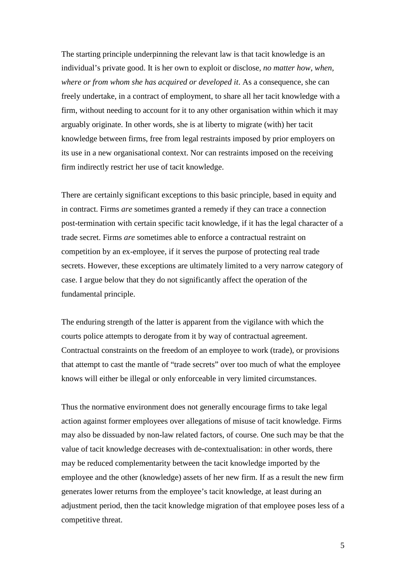The starting principle underpinning the relevant law is that tacit knowledge is an individual's private good. It is her own to exploit or disclose, *no matter how, when, where or from whom she has acquired or developed it*. As a consequence, she can freely undertake, in a contract of employment, to share all her tacit knowledge with a firm, without needing to account for it to any other organisation within which it may arguably originate. In other words, she is at liberty to migrate (with) her tacit knowledge between firms, free from legal restraints imposed by prior employers on its use in a new organisational context. Nor can restraints imposed on the receiving firm indirectly restrict her use of tacit knowledge.

There are certainly significant exceptions to this basic principle, based in equity and in contract. Firms *are* sometimes granted a remedy if they can trace a connection post-termination with certain specific tacit knowledge, if it has the legal character of a trade secret. Firms *are* sometimes able to enforce a contractual restraint on competition by an ex-employee, if it serves the purpose of protecting real trade secrets. However, these exceptions are ultimately limited to a very narrow category of case. I argue below that they do not significantly affect the operation of the fundamental principle.

The enduring strength of the latter is apparent from the vigilance with which the courts police attempts to derogate from it by way of contractual agreement. Contractual constraints on the freedom of an employee to work (trade), or provisions that attempt to cast the mantle of "trade secrets" over too much of what the employee knows will either be illegal or only enforceable in very limited circumstances.

Thus the normative environment does not generally encourage firms to take legal action against former employees over allegations of misuse of tacit knowledge. Firms may also be dissuaded by non-law related factors, of course. One such may be that the value of tacit knowledge decreases with de-contextualisation: in other words, there may be reduced complementarity between the tacit knowledge imported by the employee and the other (knowledge) assets of her new firm. If as a result the new firm generates lower returns from the employee's tacit knowledge, at least during an adjustment period, then the tacit knowledge migration of that employee poses less of a competitive threat.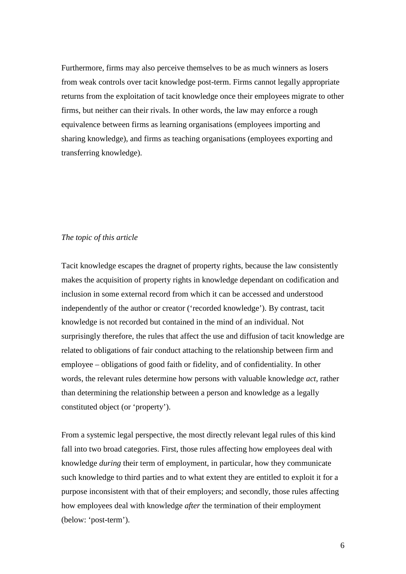Furthermore, firms may also perceive themselves to be as much winners as losers from weak controls over tacit knowledge post-term. Firms cannot legally appropriate returns from the exploitation of tacit knowledge once their employees migrate to other firms, but neither can their rivals. In other words, the law may enforce a rough equivalence between firms as learning organisations (employees importing and sharing knowledge), and firms as teaching organisations (employees exporting and transferring knowledge).

#### *The topic of this article*

Tacit knowledge escapes the dragnet of property rights, because the law consistently makes the acquisition of property rights in knowledge dependant on codification and inclusion in some external record from which it can be accessed and understood independently of the author or creator ('recorded knowledge'). By contrast, tacit knowledge is not recorded but contained in the mind of an individual. Not surprisingly therefore, the rules that affect the use and diffusion of tacit knowledge are related to obligations of fair conduct attaching to the relationship between firm and employee – obligations of good faith or fidelity, and of confidentiality. In other words, the relevant rules determine how persons with valuable knowledge *act*, rather than determining the relationship between a person and knowledge as a legally constituted object (or 'property').

From a systemic legal perspective, the most directly relevant legal rules of this kind fall into two broad categories. First, those rules affecting how employees deal with knowledge *during* their term of employment, in particular, how they communicate such knowledge to third parties and to what extent they are entitled to exploit it for a purpose inconsistent with that of their employers; and secondly, those rules affecting how employees deal with knowledge *after* the termination of their employment (below: 'post-term').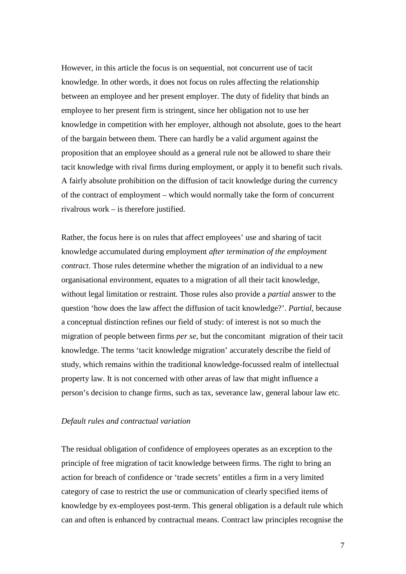However, in this article the focus is on sequential, not concurrent use of tacit knowledge. In other words, it does not focus on rules affecting the relationship between an employee and her present employer. The duty of fidelity that binds an employee to her present firm is stringent, since her obligation not to use her knowledge in competition with her employer, although not absolute, goes to the heart of the bargain between them. There can hardly be a valid argument against the proposition that an employee should as a general rule not be allowed to share their tacit knowledge with rival firms during employment, or apply it to benefit such rivals. A fairly absolute prohibition on the diffusion of tacit knowledge during the currency of the contract of employment – which would normally take the form of concurrent rivalrous work – is therefore justified.

Rather, the focus here is on rules that affect employees' use and sharing of tacit knowledge accumulated during employment *after termination of the employment contract*. Those rules determine whether the migration of an individual to a new organisational environment, equates to a migration of all their tacit knowledge, without legal limitation or restraint. Those rules also provide a *partial* answer to the question 'how does the law affect the diffusion of tacit knowledge?'. *Partial*, because a conceptual distinction refines our field of study: of interest is not so much the migration of people between firms *per se*, but the concomitant migration of their tacit knowledge. The terms 'tacit knowledge migration' accurately describe the field of study, which remains within the traditional knowledge-focussed realm of intellectual property law. It is not concerned with other areas of law that might influence a person's decision to change firms, such as tax, severance law, general labour law etc.

### *Default rules and contractual variation*

The residual obligation of confidence of employees operates as an exception to the principle of free migration of tacit knowledge between firms. The right to bring an action for breach of confidence or 'trade secrets' entitles a firm in a very limited category of case to restrict the use or communication of clearly specified items of knowledge by ex-employees post-term. This general obligation is a default rule which can and often is enhanced by contractual means. Contract law principles recognise the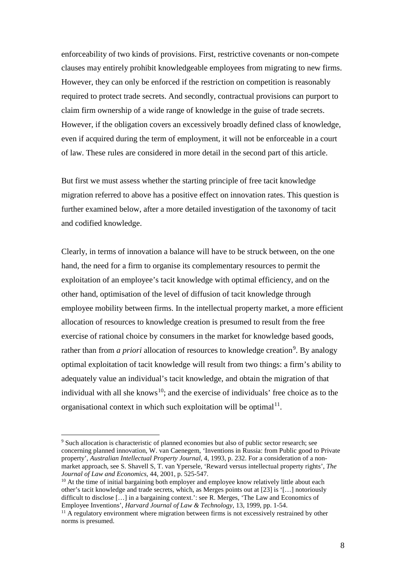enforceability of two kinds of provisions. First, restrictive covenants or non-compete clauses may entirely prohibit knowledgeable employees from migrating to new firms. However, they can only be enforced if the restriction on competition is reasonably required to protect trade secrets. And secondly, contractual provisions can purport to claim firm ownership of a wide range of knowledge in the guise of trade secrets. However, if the obligation covers an excessively broadly defined class of knowledge, even if acquired during the term of employment, it will not be enforceable in a court of law. These rules are considered in more detail in the second part of this article.

But first we must assess whether the starting principle of free tacit knowledge migration referred to above has a positive effect on innovation rates. This question is further examined below, after a more detailed investigation of the taxonomy of tacit and codified knowledge.

Clearly, in terms of innovation a balance will have to be struck between, on the one hand, the need for a firm to organise its complementary resources to permit the exploitation of an employee's tacit knowledge with optimal efficiency, and on the other hand, optimisation of the level of diffusion of tacit knowledge through employee mobility between firms. In the intellectual property market, a more efficient allocation of resources to knowledge creation is presumed to result from the free exercise of rational choice by consumers in the market for knowledge based goods, rather than from *a priori* allocation of resources to knowledge creation<sup>[9](#page-8-0)</sup>. By analogy optimal exploitation of tacit knowledge will result from two things: a firm's ability to adequately value an individual's tacit knowledge, and obtain the migration of that individual with all she knows<sup>[10](#page-8-1)</sup>; and the exercise of individuals' free choice as to the organisational context in which such exploitation will be optimal<sup>11</sup>.

<span id="page-8-0"></span> <sup>9</sup> Such allocation is characteristic of planned economies but also of public sector research; see concerning planned innovation, W. van Caenegem, 'Inventions in Russia: from Public good to Private property', *Australian Intellectual Property Journal*, 4, 1993, p. 232. For a consideration of a nonmarket approach, see S. Shavell S, T. van Ypersele, 'Reward versus intellectual property rights', *The Journal of Law and Economics*, 44, 2001, p. 525-547.

<span id="page-8-1"></span><sup>&</sup>lt;sup>10</sup> At the time of initial bargaining both employer and employee know relatively little about each other's tacit knowledge and trade secrets, which, as Merges points out at [23] is '[…] notoriously difficult to disclose […] in a bargaining context.': see R. Merges, 'The Law and Economics of Employee Inventions', *Harvard Journal of Law & Technology*, 13, 1999, pp. 1-54.

<span id="page-8-2"></span> $11$  A regulatory environment where migration between firms is not excessively restrained by other norms is presumed.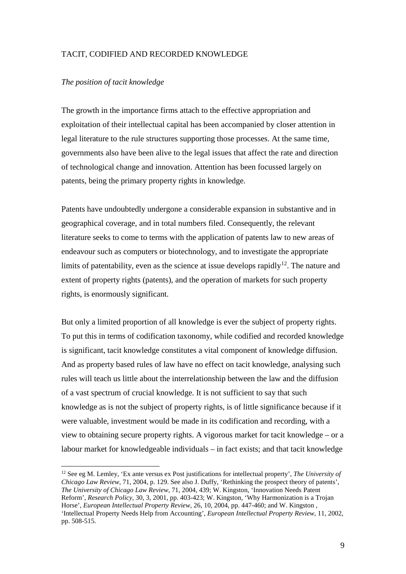#### TACIT, CODIFIED AND RECORDED KNOWLEDGE

#### *The position of tacit knowledge*

The growth in the importance firms attach to the effective appropriation and exploitation of their intellectual capital has been accompanied by closer attention in legal literature to the rule structures supporting those processes. At the same time, governments also have been alive to the legal issues that affect the rate and direction of technological change and innovation. Attention has been focussed largely on patents, being the primary property rights in knowledge.

Patents have undoubtedly undergone a considerable expansion in substantive and in geographical coverage, and in total numbers filed. Consequently, the relevant literature seeks to come to terms with the application of patents law to new areas of endeavour such as computers or biotechnology, and to investigate the appropriate limits of patentability, even as the science at issue develops rapidly<sup>12</sup>. The nature and extent of property rights (patents), and the operation of markets for such property rights, is enormously significant.

But only a limited proportion of all knowledge is ever the subject of property rights. To put this in terms of codification taxonomy, while codified and recorded knowledge is significant, tacit knowledge constitutes a vital component of knowledge diffusion. And as property based rules of law have no effect on tacit knowledge, analysing such rules will teach us little about the interrelationship between the law and the diffusion of a vast spectrum of crucial knowledge. It is not sufficient to say that such knowledge as is not the subject of property rights, is of little significance because if it were valuable, investment would be made in its codification and recording, with a view to obtaining secure property rights. A vigorous market for tacit knowledge – or a labour market for knowledgeable individuals – in fact exists; and that tacit knowledge

<span id="page-9-0"></span> <sup>12</sup> See eg M. Lemley, 'Ex ante versus ex Post justifications for intellectual property', *The University of Chicago Law Review*, 71, 2004, p. 129. See also J. Duffy, 'Rethinking the prospect theory of patents', *The University of Chicago Law Review*, 71, 2004, 439; W. Kingston, 'Innovation Needs Patent Reform', *Research Policy*, 30, 3, 2001, pp. 403-423; W. Kingston, 'Why Harmonization is a Trojan Horse', *European Intellectual Property Review*, 26, 10, 2004, pp. 447-460; and W. Kingston , 'Intellectual Property Needs Help from Accounting', *European Intellectual Property Review*, 11, 2002, pp. 508-515.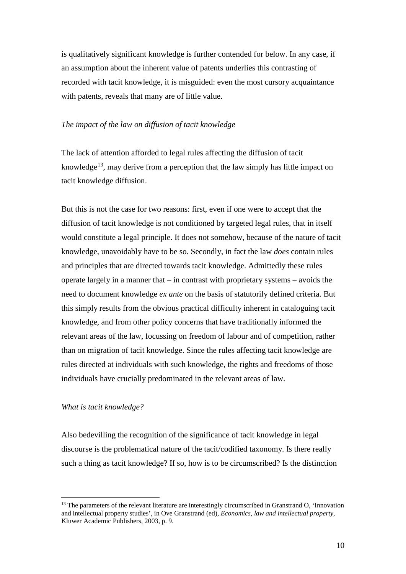is qualitatively significant knowledge is further contended for below. In any case, if an assumption about the inherent value of patents underlies this contrasting of recorded with tacit knowledge, it is misguided: even the most cursory acquaintance with patents, reveals that many are of little value.

#### *The impact of the law on diffusion of tacit knowledge*

The lack of attention afforded to legal rules affecting the diffusion of tacit knowledge<sup>[13](#page-10-0)</sup>, may derive from a perception that the law simply has little impact on tacit knowledge diffusion.

But this is not the case for two reasons: first, even if one were to accept that the diffusion of tacit knowledge is not conditioned by targeted legal rules, that in itself would constitute a legal principle. It does not somehow, because of the nature of tacit knowledge, unavoidably have to be so. Secondly, in fact the law *does* contain rules and principles that are directed towards tacit knowledge. Admittedly these rules operate largely in a manner that – in contrast with proprietary systems – avoids the need to document knowledge *ex ante* on the basis of statutorily defined criteria. But this simply results from the obvious practical difficulty inherent in cataloguing tacit knowledge, and from other policy concerns that have traditionally informed the relevant areas of the law, focussing on freedom of labour and of competition, rather than on migration of tacit knowledge. Since the rules affecting tacit knowledge are rules directed at individuals with such knowledge, the rights and freedoms of those individuals have crucially predominated in the relevant areas of law.

## *What is tacit knowledge?*

Also bedevilling the recognition of the significance of tacit knowledge in legal discourse is the problematical nature of the tacit/codified taxonomy. Is there really such a thing as tacit knowledge? If so, how is to be circumscribed? Is the distinction

<span id="page-10-0"></span><sup>&</sup>lt;sup>13</sup> The parameters of the relevant literature are interestingly circumscribed in Granstrand O, 'Innovation and intellectual property studies', in Ove Granstrand (ed), *Economics, law and intellectual property*, Kluwer Academic Publishers, 2003, p. 9.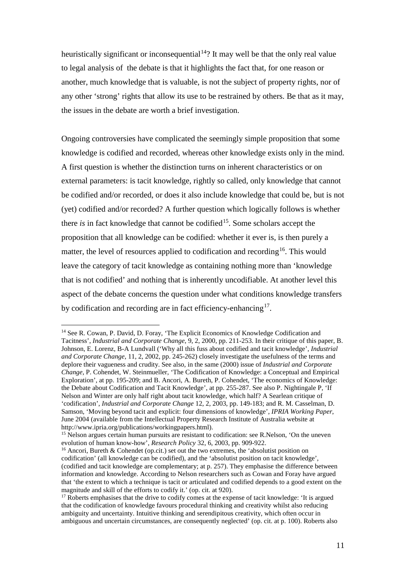heuristically significant or inconsequential $14$ ? It may well be that the only real value to legal analysis of the debate is that it highlights the fact that, for one reason or another, much knowledge that is valuable, is not the subject of property rights, nor of any other 'strong' rights that allow its use to be restrained by others. Be that as it may, the issues in the debate are worth a brief investigation.

Ongoing controversies have complicated the seemingly simple proposition that some knowledge is codified and recorded, whereas other knowledge exists only in the mind. A first question is whether the distinction turns on inherent characteristics or on external parameters: is tacit knowledge, rightly so called, only knowledge that cannot be codified and/or recorded, or does it also include knowledge that could be, but is not (yet) codified and/or recorded? A further question which logically follows is whether there *is* in fact knowledge that cannot be codified<sup>[15](#page-11-1)</sup>. Some scholars accept the proposition that all knowledge can be codified: whether it ever is, is then purely a matter, the level of resources applied to codification and recording<sup>16</sup>. This would leave the category of tacit knowledge as containing nothing more than 'knowledge that is not codified' and nothing that is inherently uncodifiable. At another level this aspect of the debate concerns the question under what conditions knowledge transfers by codification and recording are in fact efficiency-enhancing<sup>17</sup>.

<span id="page-11-0"></span><sup>&</sup>lt;sup>14</sup> See R. Cowan, P. David, D. Foray, 'The Explicit Economics of Knowledge Codification and Tacitness', *Industrial and Corporate Change*, 9, 2, 2000, pp. 211-253. In their critique of this paper, B. Johnson, E. Lorenz, B-A Lundvall ('Why all this fuss about codified and tacit knowledge', *Industrial and Corporate Change*, 11, 2, 2002, pp. 245-262) closely investigate the usefulness of the terms and deplore their vagueness and crudity. See also, in the same (2000) issue of *Industrial and Corporate Change*, P. Cohendet, W. Steinmueller, 'The Codification of Knowledge: a Conceptual and Empirical Exploration', at pp. 195-209; and B. Ancori, A. Bureth, P. Cohendet, 'The economics of Knowledge: the Debate about Codification and Tacit Knowledge', at pp. 255-287. See also P. Nightingale P, 'If Nelson and Winter are only half right about tacit knowledge, which half? A Searlean critique of 'codification', *Industrial and Corporate Change* 12, 2, 2003, pp. 149-183; and R. M. Casselman, D. Samson, 'Moving beyond tacit and explicit: four dimensions of knowledge', *IPRIA Working Paper*, June 2004 (available from the Intellectual Property Research Institute of Australia website at http://www.ipria.org/publications/workingpapers.html).

<span id="page-11-1"></span><sup>&</sup>lt;sup>15</sup> Nelson argues certain human pursuits are resistant to codification: see R.Nelson, 'On the uneven evolution of human know-how', *Research Policy* 32, 6, 2003, pp. 909-922.<br><sup>16</sup> Ancori, Bureth & Cohendet (op.cit.) set out the two extremes, the 'absolutist position on

<span id="page-11-2"></span>codification' (all knowledge can be codified), and the 'absolutist position on tacit knowledge', (codified and tacit knowledge are complementary; at p. 257). They emphasise the difference between information and knowledge. According to Nelson researchers such as Cowan and Foray have argued that 'the extent to which a technique is tacit or articulated and codified depends to a good extent on the magnitude and skill of the efforts to codify it.' (op. cit. at 920).

<span id="page-11-3"></span><sup>&</sup>lt;sup>17</sup> Roberts emphasises that the drive to codify comes at the expense of tacit knowledge: 'It is argued that the codification of knowledge favours procedural thinking and creativity whilst also reducing ambiguity and uncertainty. Intuitive thinking and serendipitous creativity, which often occur in ambiguous and uncertain circumstances, are consequently neglected' (op. cit. at p. 100). Roberts also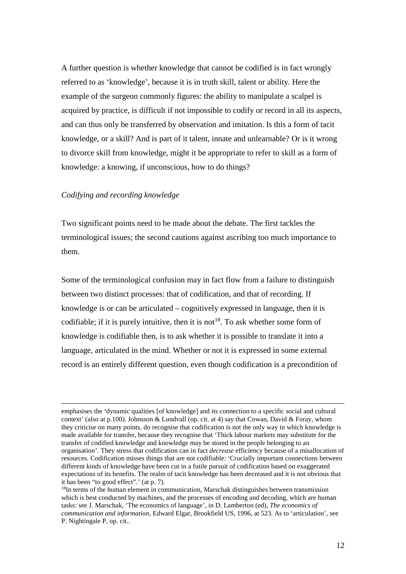A further question is whether knowledge that cannot be codified is in fact wrongly referred to as 'knowledge', because it is in truth skill, talent or ability. Here the example of the surgeon commonly figures: the ability to manipulate a scalpel is acquired by practice, is difficult if not impossible to codify or record in all its aspects, and can thus only be transferred by observation and imitation. Is this a form of tacit knowledge, or a skill? And is part of it talent, innate and unlearnable? Or is it wrong to divorce skill from knowledge, might it be appropriate to refer to skill as a form of knowledge: a knowing, if unconscious, how to do things?

#### *Codifying and recording knowledge*

Two significant points need to be made about the debate. The first tackles the terminological issues; the second cautions against ascribing too much importance to them.

Some of the terminological confusion may in fact flow from a failure to distinguish between two distinct processes: that of codification, and that of recording. If knowledge is or can be articulated – cognitively expressed in language, then it is codifiable; if it is purely intuitive, then it is not<sup>[18](#page-12-0)</sup>. To ask whether some form of knowledge is codifiable then, is to ask whether it is possible to translate it into a language, articulated in the mind. Whether or not it is expressed in some external record is an entirely different question, even though codification is a precondition of

emphasises the 'dynamic qualities [of knowledge] and its connection to a specific social and cultural context' (also at p.100). Johnsson & Lundvall (op. cit. at 4) say that Cowan, David & Foray, whom they criticise on many points, do recognise that codification is not the only way in which knowledge is made available for transfer, because they recognise that 'Thick labour markets may substitute for the transfer of codified knowledge and knowledge may be stored in the people belonging to an organisation'. They stress that codification can in fact *decrease* efficiency because of a misallocation of resources. Codification misses things that are not codifiable: 'Crucially important connections between different kinds of knowledge have been cut in a futile pursuit of codification based on exaggerated expectations of its benefits. The realm of tacit knowledge has been decreased and it is not obvious that it has been "to good effect".' (at p. 7).

<span id="page-12-0"></span> $18$ In terms of the human element in communication. Marschak distinguishes between transmission which is best conducted by machines, and the processes of encoding and decoding, which are human tasks: see J. Marschak, 'The economics of language', in D. Lamberton (ed), *The economics of communication and information*, Edward Elgar, Brookfield US, 1996, at 523. As to 'articulation', see P. Nightingale P, op. cit..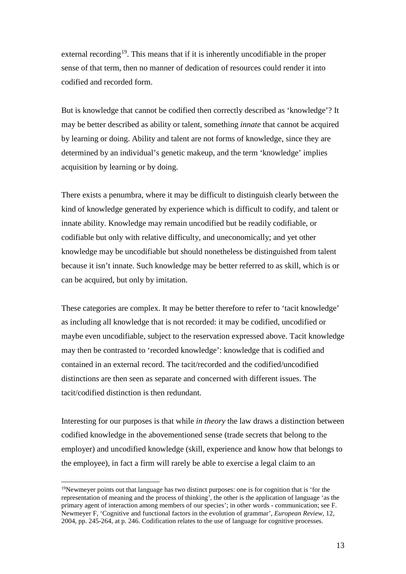external recording<sup>[19](#page-13-0)</sup>. This means that if it is inherently uncodifiable in the proper sense of that term, then no manner of dedication of resources could render it into codified and recorded form.

But is knowledge that cannot be codified then correctly described as 'knowledge'? It may be better described as ability or talent, something *innate* that cannot be acquired by learning or doing. Ability and talent are not forms of knowledge, since they are determined by an individual's genetic makeup, and the term 'knowledge' implies acquisition by learning or by doing.

There exists a penumbra, where it may be difficult to distinguish clearly between the kind of knowledge generated by experience which is difficult to codify, and talent or innate ability. Knowledge may remain uncodified but be readily codifiable, or codifiable but only with relative difficulty, and uneconomically; and yet other knowledge may be uncodifiable but should nonetheless be distinguished from talent because it isn't innate. Such knowledge may be better referred to as skill, which is or can be acquired, but only by imitation.

These categories are complex. It may be better therefore to refer to 'tacit knowledge' as including all knowledge that is not recorded: it may be codified, uncodified or maybe even uncodifiable, subject to the reservation expressed above. Tacit knowledge may then be contrasted to 'recorded knowledge': knowledge that is codified and contained in an external record. The tacit/recorded and the codified/uncodified distinctions are then seen as separate and concerned with different issues. The tacit/codified distinction is then redundant.

Interesting for our purposes is that while *in theory* the law draws a distinction between codified knowledge in the abovementioned sense (trade secrets that belong to the employer) and uncodified knowledge (skill, experience and know how that belongs to the employee), in fact a firm will rarely be able to exercise a legal claim to an

<span id="page-13-0"></span><sup>&</sup>lt;sup>19</sup>Newmeyer points out that language has two distinct purposes: one is for cognition that is 'for the representation of meaning and the process of thinking', the other is the application of language 'as the primary agent of interaction among members of our species'; in other words - communication; see F. Newmeyer F, 'Cognitive and functional factors in the evolution of grammar', *European Review*, 12, 2004, pp. 245-264, at p. 246. Codification relates to the use of language for cognitive processes.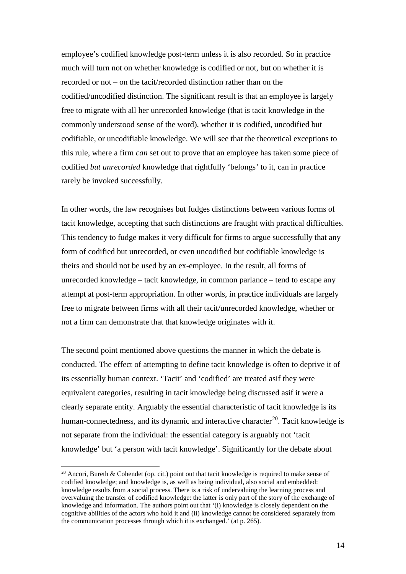employee's codified knowledge post-term unless it is also recorded. So in practice much will turn not on whether knowledge is codified or not, but on whether it is recorded or not – on the tacit/recorded distinction rather than on the codified/uncodified distinction. The significant result is that an employee is largely free to migrate with all her unrecorded knowledge (that is tacit knowledge in the commonly understood sense of the word), whether it is codified, uncodified but codifiable, or uncodifiable knowledge. We will see that the theoretical exceptions to this rule, where a firm *can* set out to prove that an employee has taken some piece of codified *but unrecorded* knowledge that rightfully 'belongs' to it, can in practice rarely be invoked successfully.

In other words, the law recognises but fudges distinctions between various forms of tacit knowledge, accepting that such distinctions are fraught with practical difficulties. This tendency to fudge makes it very difficult for firms to argue successfully that any form of codified but unrecorded, or even uncodified but codifiable knowledge is theirs and should not be used by an ex-employee. In the result, all forms of unrecorded knowledge – tacit knowledge, in common parlance – tend to escape any attempt at post-term appropriation. In other words, in practice individuals are largely free to migrate between firms with all their tacit/unrecorded knowledge, whether or not a firm can demonstrate that that knowledge originates with it.

The second point mentioned above questions the manner in which the debate is conducted. The effect of attempting to define tacit knowledge is often to deprive it of its essentially human context. 'Tacit' and 'codified' are treated asif they were equivalent categories, resulting in tacit knowledge being discussed asif it were a clearly separate entity. Arguably the essential characteristic of tacit knowledge is its human-connectedness, and its dynamic and interactive character<sup>20</sup>. Tacit knowledge is not separate from the individual: the essential category is arguably not 'tacit knowledge' but 'a person with tacit knowledge'. Significantly for the debate about

<span id="page-14-0"></span><sup>&</sup>lt;sup>20</sup> Ancori, Bureth & Cohendet (op. cit.) point out that tacit knowledge is required to make sense of codified knowledge; and knowledge is, as well as being individual, also social and embedded: knowledge results from a social process. There is a risk of undervaluing the learning process and overvaluing the transfer of codified knowledge: the latter is only part of the story of the exchange of knowledge and information. The authors point out that '(i) knowledge is closely dependent on the cognitive abilities of the actors who hold it and (ii) knowledge cannot be considered separately from the communication processes through which it is exchanged.' (at p. 265).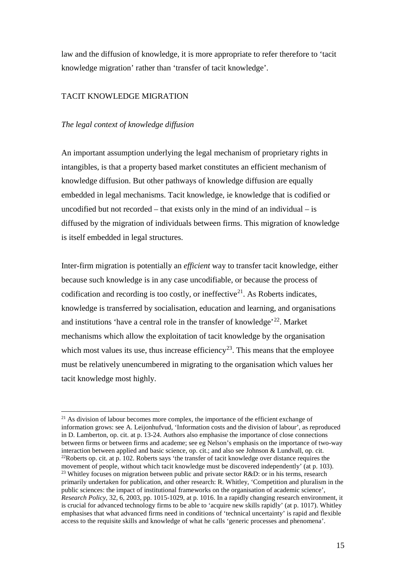law and the diffusion of knowledge, it is more appropriate to refer therefore to 'tacit knowledge migration' rather than 'transfer of tacit knowledge'.

## TACIT KNOWLEDGE MIGRATION

#### *The legal context of knowledge diffusion*

An important assumption underlying the legal mechanism of proprietary rights in intangibles, is that a property based market constitutes an efficient mechanism of knowledge diffusion. But other pathways of knowledge diffusion are equally embedded in legal mechanisms. Tacit knowledge, ie knowledge that is codified or uncodified but not recorded – that exists only in the mind of an individual – is diffused by the migration of individuals between firms. This migration of knowledge is itself embedded in legal structures.

Inter-firm migration is potentially an *efficient* way to transfer tacit knowledge, either because such knowledge is in any case uncodifiable, or because the process of codification and recording is too costly, or ineffective<sup>21</sup>. As Roberts indicates, knowledge is transferred by socialisation, education and learning, and organisations and institutions 'have a central role in the transfer of knowledge'<sup>[22](#page-15-1)</sup>. Market mechanisms which allow the exploitation of tacit knowledge by the organisation which most values its use, thus increase efficiency<sup>23</sup>. This means that the employee must be relatively unencumbered in migrating to the organisation which values her tacit knowledge most highly.

<span id="page-15-2"></span><span id="page-15-1"></span><span id="page-15-0"></span> $21$  As division of labour becomes more complex, the importance of the efficient exchange of information grows: see A. Leijonhufvud, 'Information costs and the division of labour', as reproduced in D. Lamberton, op. cit. at p. 13-24. Authors also emphasise the importance of close connections between firms or between firms and academe; see eg Nelson's emphasis on the importance of two-way interaction between applied and basic science, op. cit.; and also see Johnson & Lundvall, op. cit.  $^{22}$ Roberts op. cit. at p. 102. Roberts says 'the transfer of tacit knowledge over distance requires the movement of people, without which tacit knowledge must be discovered independently' (at p. 103).<br><sup>23</sup> Whitley focuses on migration between public and private sector R&D: or in his terms, research primarily undertaken for publication, and other research: R. Whitley, 'Competition and pluralism in the public sciences: the impact of institutional frameworks on the organisation of academic science', *Research Policy*, 32, 6, 2003, pp. 1015-1029, at p. 1016. In a rapidly changing research environment, it is crucial for advanced technology firms to be able to 'acquire new skills rapidly' (at p. 1017). Whitley emphasises that what advanced firms need in conditions of 'technical uncertainty' is rapid and flexible access to the requisite skills and knowledge of what he calls 'generic processes and phenomena'.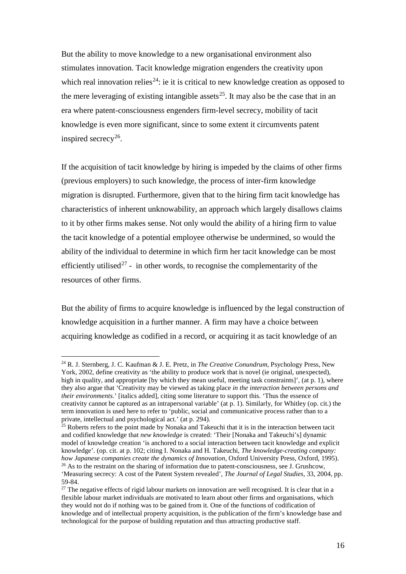But the ability to move knowledge to a new organisational environment also stimulates innovation. Tacit knowledge migration engenders the creativity upon which real innovation relies<sup>[24](#page-16-0)</sup>: ie it is critical to new knowledge creation as opposed to the mere leveraging of existing intangible assets<sup>[25](#page-16-1)</sup>. It may also be the case that in an era where patent-consciousness engenders firm-level secrecy, mobility of tacit knowledge is even more significant, since to some extent it circumvents patent inspired secrecy<sup>[26](#page-16-2)</sup>.

If the acquisition of tacit knowledge by hiring is impeded by the claims of other firms (previous employers) to such knowledge, the process of inter-firm knowledge migration is disrupted. Furthermore, given that to the hiring firm tacit knowledge has characteristics of inherent unknowability, an approach which largely disallows claims to it by other firms makes sense. Not only would the ability of a hiring firm to value the tacit knowledge of a potential employee otherwise be undermined, so would the ability of the individual to determine in which firm her tacit knowledge can be most efficiently utilised<sup>[27](#page-16-3)</sup> - in other words, to recognise the complementarity of the resources of other firms.

But the ability of firms to acquire knowledge is influenced by the legal construction of knowledge acquisition in a further manner. A firm may have a choice between acquiring knowledge as codified in a record, or acquiring it as tacit knowledge of an

<span id="page-16-0"></span> <sup>24</sup> R. J. Sternberg, J. C. Kaufman & J. E. Pretz, in *The Creative Conundrum,* Psychology Press, New York, 2002, define creativity as 'the ability to produce work that is novel (ie original, unexpected), high in quality, and appropriate [by which they mean useful, meeting task constraints]', (at p. 1), where they also argue that 'Creativity may be viewed as taking place *in the interaction between persons and their environments*.' [italics added], citing some literature to support this. 'Thus the essence of creativity cannot be captured as an intrapersonal variable' (at p. 1). Similarly, for Whitley (op. cit.) the term innovation is used here to refer to 'public, social and communicative process rather than to a private, intellectual and psychological act.' (at p. 294).

<span id="page-16-1"></span> $25$  Roberts refers to the point made by Nonaka and Takeuchi that it is in the interaction between tacit and codified knowledge that *new knowledge* is created: 'Their [Nonaka and Takeuchi's] dynamic model of knowledge creation 'is anchored to a social interaction between tacit knowledge and explicit knowledge'. (op. cit. at p. 102; citing I. Nonaka and H. Takeuchi, *The knowledge-creating company:*  <sup>26</sup> As to the restraint on the sharing of information due to patent-consciousness, see J. Grushcow,

<span id="page-16-2"></span><sup>&#</sup>x27;Measuring secrecy: A cost of the Patent System revealed', *The Journal of Legal Studies*, 33, 2004, pp. 59-84.

<span id="page-16-3"></span> $27$  The negative effects of rigid labour markets on innovation are well recognised. It is clear that in a flexible labour market individuals are motivated to learn about other firms and organisations, which they would not do if nothing was to be gained from it. One of the functions of codification of knowledge and of intellectual property acquisition, is the publication of the firm's knowledge base and technological for the purpose of building reputation and thus attracting productive staff.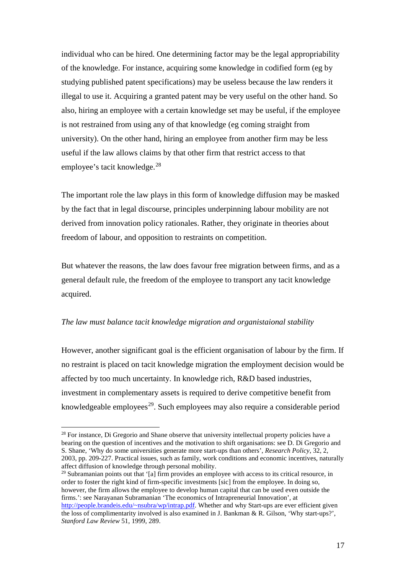individual who can be hired. One determining factor may be the legal appropriability of the knowledge. For instance, acquiring some knowledge in codified form (eg by studying published patent specifications) may be useless because the law renders it illegal to use it. Acquiring a granted patent may be very useful on the other hand. So also, hiring an employee with a certain knowledge set may be useful, if the employee is not restrained from using any of that knowledge (eg coming straight from university). On the other hand, hiring an employee from another firm may be less useful if the law allows claims by that other firm that restrict access to that employee's tacit knowledge.<sup>[28](#page-17-0)</sup>

The important role the law plays in this form of knowledge diffusion may be masked by the fact that in legal discourse, principles underpinning labour mobility are not derived from innovation policy rationales. Rather, they originate in theories about freedom of labour, and opposition to restraints on competition.

But whatever the reasons, the law does favour free migration between firms, and as a general default rule, the freedom of the employee to transport any tacit knowledge acquired.

#### *The law must balance tacit knowledge migration and organistaional stability*

However, another significant goal is the efficient organisation of labour by the firm. If no restraint is placed on tacit knowledge migration the employment decision would be affected by too much uncertainty. In knowledge rich, R&D based industries, investment in complementary assets is required to derive competitive benefit from knowledgeable employees<sup>29</sup>. Such employees may also require a considerable period

<span id="page-17-1"></span><sup>29</sup> Subramanian points out that '[a] firm provides an employee with access to its critical resource, in order to foster the right kind of firm-specific investments [sic] from the employee. In doing so, however, the firm allows the employee to develop human capital that can be used even outside the firms.': see Narayanan Subramanian 'The economics of Intrapreneurial Innovation', at [http://people.brandeis.edu/~nsubra/wp/intrap.pdf.](http://people.brandeis.edu/%7Ensubra/wp/intrap.pdf) Whether and why Start-ups are ever efficient given the loss of complimentarity involved is also examined in J. Bankman & R. Gilson, 'Why start-ups?', *Stanford Law Review* 51, 1999, 289.

<span id="page-17-0"></span><sup>&</sup>lt;sup>28</sup> For instance, Di Gregorio and Shane observe that university intellectual property policies have a bearing on the question of incentives and the motivation to shift organisations: see D. Di Gregorio and S. Shane, 'Why do some universities generate more start-ups than others', *Research Policy*, 32, 2, 2003, pp. 209-227. Practical issues, such as family, work conditions and economic incentives, naturally affect diffusion of knowledge through personal mobility.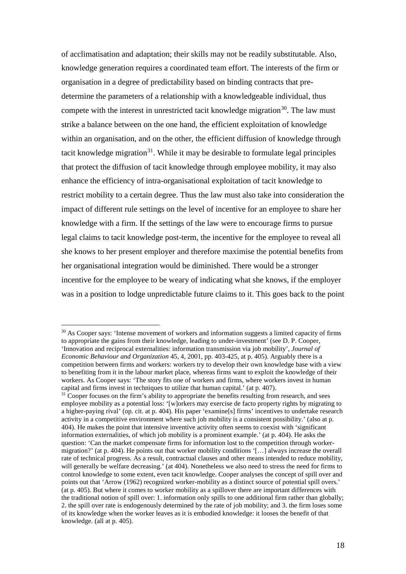of acclimatisation and adaptation; their skills may not be readily substitutable. Also, knowledge generation requires a coordinated team effort. The interests of the firm or organisation in a degree of predictability based on binding contracts that predetermine the parameters of a relationship with a knowledgeable individual, thus compete with the interest in unrestricted tacit knowledge migration<sup>30</sup>. The law must strike a balance between on the one hand, the efficient exploitation of knowledge within an organisation, and on the other, the efficient diffusion of knowledge through tacit knowledge migration<sup>31</sup>. While it may be desirable to formulate legal principles that protect the diffusion of tacit knowledge through employee mobility, it may also enhance the efficiency of intra-organisational exploitation of tacit knowledge to restrict mobility to a certain degree. Thus the law must also take into consideration the impact of different rule settings on the level of incentive for an employee to share her knowledge with a firm. If the settings of the law were to encourage firms to pursue legal claims to tacit knowledge post-term, the incentive for the employee to reveal all she knows to her present employer and therefore maximise the potential benefits from her organisational integration would be diminished. There would be a stronger incentive for the employee to be weary of indicating what she knows, if the employer was in a position to lodge unpredictable future claims to it. This goes back to the point

<span id="page-18-0"></span><sup>&</sup>lt;sup>30</sup> As Cooper says: 'Intense movement of workers and information suggests a limited capacity of firms to appropriate the gains from their knowledge, leading to under-investment' (see D. P. Cooper, 'Innovation and reciprocal externalities: information transmission via job mobility', *Journal of Economic Behaviour and Organization* 45, 4, 2001, pp. 403-425, at p. 405). Arguably there is a competition between firms and workers: workers try to develop their own knowledge base with a view to benefiting from it in the labour market place, whereas firms want to exploit the knowledge of their workers. As Cooper says: 'The story fits one of workers and firms, where workers invest in human capital and firms invest in techniques to utilize that human capital.' (at p. 407).

<span id="page-18-1"></span> $31$  Cooper focuses on the firm's ability to appropriate the benefits resulting from research, and sees employee mobility as a potential loss: '[w]orkers may exercise de facto property rights by migrating to a higher-paying rival' (op. cit. at p. 404). His paper 'examine[s] firms' incentives to undertake research activity in a competitive environment where such job mobility is a consistent possibility.' (also at p. 404). He makes the point that intensive inventive activity often seems to coexist with 'significant information externalities, of which job mobility is a prominent example.' (at p. 404). He asks the question: 'Can the market compensate firms for information lost to the competition through workermigration?' (at p. 404). He points out that worker mobility conditions '[…] always increase the overall rate of technical progress. As a result, contractual clauses and other means intended to reduce mobility, will generally be welfare decreasing.' (at 404). Nonetheless we also need to stress the need for firms to control knowledge to some extent, even tacit knowledge. Cooper analyses the concept of spill over and points out that 'Arrow (1962) recognized worker-mobility as a distinct source of potential spill overs.' (at p. 405). But where it comes to worker mobility as a spillover there are important differences with the traditional notion of spill over: 1. information only spills to one additional firm rather than globally; 2. the spill over rate is endogenously determined by the rate of job mobility; and 3. the firm loses some of its knowledge when the worker leaves as it is embodied knowledge: it looses the benefit of that knowledge. (all at p. 405).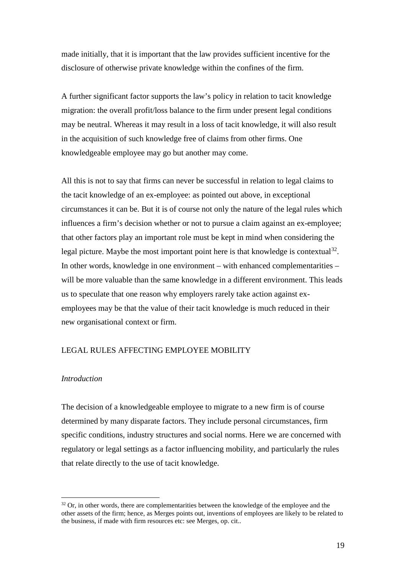made initially, that it is important that the law provides sufficient incentive for the disclosure of otherwise private knowledge within the confines of the firm.

A further significant factor supports the law's policy in relation to tacit knowledge migration: the overall profit/loss balance to the firm under present legal conditions may be neutral. Whereas it may result in a loss of tacit knowledge, it will also result in the acquisition of such knowledge free of claims from other firms. One knowledgeable employee may go but another may come.

All this is not to say that firms can never be successful in relation to legal claims to the tacit knowledge of an ex-employee: as pointed out above, in exceptional circumstances it can be. But it is of course not only the nature of the legal rules which influences a firm's decision whether or not to pursue a claim against an ex-employee; that other factors play an important role must be kept in mind when considering the legal picture. Maybe the most important point here is that knowledge is contextual<sup>[32](#page-19-0)</sup>. In other words, knowledge in one environment – with enhanced complementarities – will be more valuable than the same knowledge in a different environment. This leads us to speculate that one reason why employers rarely take action against exemployees may be that the value of their tacit knowledge is much reduced in their new organisational context or firm.

## LEGAL RULES AFFECTING EMPLOYEE MOBILITY

## *Introduction*

The decision of a knowledgeable employee to migrate to a new firm is of course determined by many disparate factors. They include personal circumstances, firm specific conditions, industry structures and social norms. Here we are concerned with regulatory or legal settings as a factor influencing mobility, and particularly the rules that relate directly to the use of tacit knowledge.

<span id="page-19-0"></span> $32$  Or, in other words, there are complementarities between the knowledge of the employee and the other assets of the firm; hence, as Merges points out, inventions of employees are likely to be related to the business, if made with firm resources etc: see Merges, op. cit..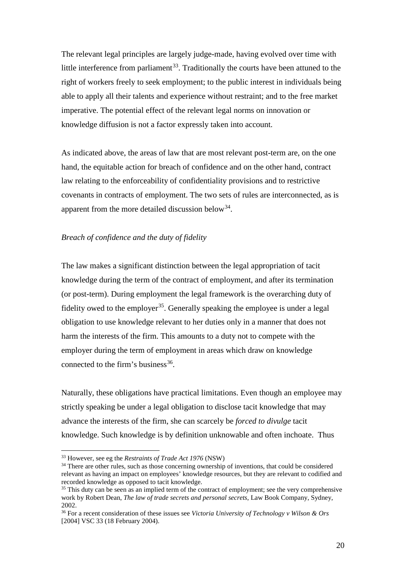The relevant legal principles are largely judge-made, having evolved over time with little interference from parliament<sup>33</sup>. Traditionally the courts have been attuned to the right of workers freely to seek employment; to the public interest in individuals being able to apply all their talents and experience without restraint; and to the free market imperative. The potential effect of the relevant legal norms on innovation or knowledge diffusion is not a factor expressly taken into account.

As indicated above, the areas of law that are most relevant post-term are, on the one hand, the equitable action for breach of confidence and on the other hand, contract law relating to the enforceability of confidentiality provisions and to restrictive covenants in contracts of employment. The two sets of rules are interconnected, as is apparent from the more detailed discussion below  $34$ .

## *Breach of confidence and the duty of fidelity*

The law makes a significant distinction between the legal appropriation of tacit knowledge during the term of the contract of employment, and after its termination (or post-term). During employment the legal framework is the overarching duty of fidelity owed to the employer<sup>35</sup>. Generally speaking the employee is under a legal obligation to use knowledge relevant to her duties only in a manner that does not harm the interests of the firm. This amounts to a duty not to compete with the employer during the term of employment in areas which draw on knowledge connected to the firm's business  $36$ .

Naturally, these obligations have practical limitations. Even though an employee may strictly speaking be under a legal obligation to disclose tacit knowledge that may advance the interests of the firm, she can scarcely be *forced to divulge* tacit knowledge. Such knowledge is by definition unknowable and often inchoate. Thus

<span id="page-20-0"></span> <sup>33</sup> However, see eg the *Restraints of Trade Act 1976* (NSW)

<span id="page-20-1"></span><sup>&</sup>lt;sup>34</sup> There are other rules, such as those concerning ownership of inventions, that could be considered relevant as having an impact on employees' knowledge resources, but they are relevant to codified and recorded knowledge as opposed to tacit knowledge.

<span id="page-20-2"></span><sup>&</sup>lt;sup>35</sup> This duty can be seen as an implied term of the contract of employment; see the very comprehensive work by Robert Dean, *The law of trade secrets and personal secrets*, Law Book Company, Sydney, 2002.

<span id="page-20-3"></span><sup>36</sup> For a recent consideration of these issues see *Victoria University of Technology v Wilson & Ors* [2004] VSC 33 (18 February 2004).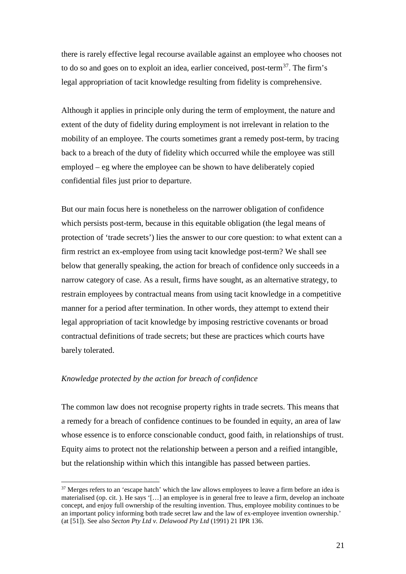there is rarely effective legal recourse available against an employee who chooses not to do so and goes on to exploit an idea, earlier conceived, post-term<sup>[37](#page-21-0)</sup>. The firm's legal appropriation of tacit knowledge resulting from fidelity is comprehensive.

Although it applies in principle only during the term of employment, the nature and extent of the duty of fidelity during employment is not irrelevant in relation to the mobility of an employee. The courts sometimes grant a remedy post-term, by tracing back to a breach of the duty of fidelity which occurred while the employee was still employed – eg where the employee can be shown to have deliberately copied confidential files just prior to departure.

But our main focus here is nonetheless on the narrower obligation of confidence which persists post-term, because in this equitable obligation (the legal means of protection of 'trade secrets') lies the answer to our core question: to what extent can a firm restrict an ex-employee from using tacit knowledge post-term? We shall see below that generally speaking, the action for breach of confidence only succeeds in a narrow category of case. As a result, firms have sought, as an alternative strategy, to restrain employees by contractual means from using tacit knowledge in a competitive manner for a period after termination. In other words, they attempt to extend their legal appropriation of tacit knowledge by imposing restrictive covenants or broad contractual definitions of trade secrets; but these are practices which courts have barely tolerated.

## *Knowledge protected by the action for breach of confidence*

The common law does not recognise property rights in trade secrets. This means that a remedy for a breach of confidence continues to be founded in equity, an area of law whose essence is to enforce conscionable conduct, good faith, in relationships of trust. Equity aims to protect not the relationship between a person and a reified intangible, but the relationship within which this intangible has passed between parties.

<span id="page-21-0"></span> $37$  Merges refers to an 'escape hatch' which the law allows employees to leave a firm before an idea is materialised (op. cit. ). He says '[…] an employee is in general free to leave a firm, develop an inchoate concept, and enjoy full ownership of the resulting invention. Thus, employee mobility continues to be an important policy informing both trade secret law and the law of ex-employee invention ownership.' (at [51]). See also *Secton Pty Ltd v. Delawood Pty Ltd* (1991) 21 IPR 136.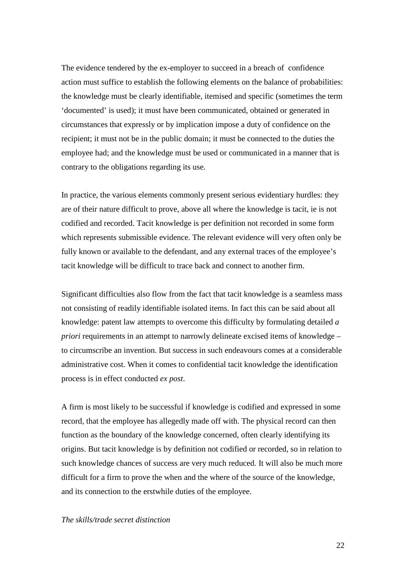The evidence tendered by the ex-employer to succeed in a breach of confidence action must suffice to establish the following elements on the balance of probabilities: the knowledge must be clearly identifiable, itemised and specific (sometimes the term 'documented' is used); it must have been communicated, obtained or generated in circumstances that expressly or by implication impose a duty of confidence on the recipient; it must not be in the public domain; it must be connected to the duties the employee had; and the knowledge must be used or communicated in a manner that is contrary to the obligations regarding its use.

In practice, the various elements commonly present serious evidentiary hurdles: they are of their nature difficult to prove, above all where the knowledge is tacit, ie is not codified and recorded. Tacit knowledge is per definition not recorded in some form which represents submissible evidence. The relevant evidence will very often only be fully known or available to the defendant, and any external traces of the employee's tacit knowledge will be difficult to trace back and connect to another firm.

Significant difficulties also flow from the fact that tacit knowledge is a seamless mass not consisting of readily identifiable isolated items. In fact this can be said about all knowledge: patent law attempts to overcome this difficulty by formulating detailed *a priori* requirements in an attempt to narrowly delineate excised items of knowledge – to circumscribe an invention. But success in such endeavours comes at a considerable administrative cost. When it comes to confidential tacit knowledge the identification process is in effect conducted *ex post*.

A firm is most likely to be successful if knowledge is codified and expressed in some record, that the employee has allegedly made off with. The physical record can then function as the boundary of the knowledge concerned, often clearly identifying its origins. But tacit knowledge is by definition not codified or recorded, so in relation to such knowledge chances of success are very much reduced. It will also be much more difficult for a firm to prove the when and the where of the source of the knowledge, and its connection to the erstwhile duties of the employee.

## *The skills/trade secret distinction*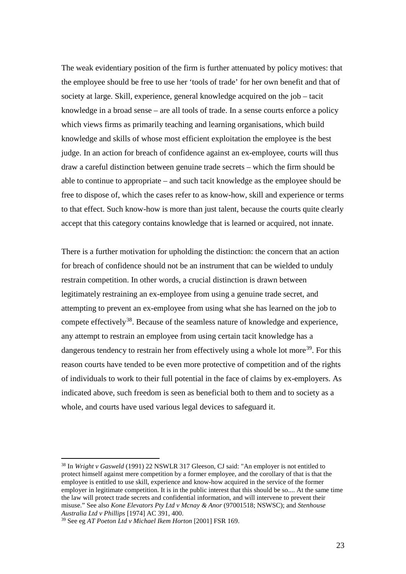The weak evidentiary position of the firm is further attenuated by policy motives: that the employee should be free to use her 'tools of trade' for her own benefit and that of society at large. Skill, experience, general knowledge acquired on the job – tacit knowledge in a broad sense – are all tools of trade. In a sense courts enforce a policy which views firms as primarily teaching and learning organisations, which build knowledge and skills of whose most efficient exploitation the employee is the best judge. In an action for breach of confidence against an ex-employee, courts will thus draw a careful distinction between genuine trade secrets – which the firm should be able to continue to appropriate – and such tacit knowledge as the employee should be free to dispose of, which the cases refer to as know-how, skill and experience or terms to that effect. Such know-how is more than just talent, because the courts quite clearly accept that this category contains knowledge that is learned or acquired, not innate.

There is a further motivation for upholding the distinction: the concern that an action for breach of confidence should not be an instrument that can be wielded to unduly restrain competition. In other words, a crucial distinction is drawn between legitimately restraining an ex-employee from using a genuine trade secret, and attempting to prevent an ex-employee from using what she has learned on the job to compete effectively<sup>38</sup>. Because of the seamless nature of knowledge and experience, any attempt to restrain an employee from using certain tacit knowledge has a dangerous tendency to restrain her from effectively using a whole lot more<sup>39</sup>. For this reason courts have tended to be even more protective of competition and of the rights of individuals to work to their full potential in the face of claims by ex-employers. As indicated above, such freedom is seen as beneficial both to them and to society as a whole, and courts have used various legal devices to safeguard it.

<span id="page-23-0"></span> <sup>38</sup> In *Wright v Gasweld* (1991) 22 NSWLR 317 Gleeson, CJ said: "An employer is not entitled to protect himself against mere competition by a former employee, and the corollary of that is that the employee is entitled to use skill, experience and know-how acquired in the service of the former employer in legitimate competition. It is in the public interest that this should be so.... At the same time the law will protect trade secrets and confidential information, and will intervene to prevent their misuse." See also *Kone Elevators Pty Ltd v Mcnay & Anor* (97001518; NSWSC); and *Stenhouse Australia Ltd v Phillips* [1974] AC 391, 400.

<span id="page-23-1"></span><sup>39</sup> See eg *AT Poeton Ltd v Michael Ikem Horton* [2001] FSR 169.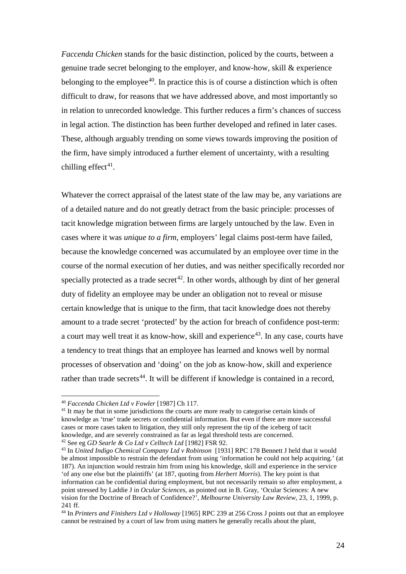*Faccenda Chicken* stands for the basic distinction, policed by the courts, between a genuine trade secret belonging to the employer, and know-how, skill & experience belonging to the employee<sup>[40](#page-24-0)</sup>. In practice this is of course a distinction which is often difficult to draw, for reasons that we have addressed above, and most importantly so in relation to unrecorded knowledge. This further reduces a firm's chances of success in legal action. The distinction has been further developed and refined in later cases. These, although arguably trending on some views towards improving the position of the firm, have simply introduced a further element of uncertainty, with a resulting chilling effect<sup>41</sup>.

Whatever the correct appraisal of the latest state of the law may be, any variations are of a detailed nature and do not greatly detract from the basic principle: processes of tacit knowledge migration between firms are largely untouched by the law. Even in cases where it was *unique to a firm*, employers' legal claims post-term have failed, because the knowledge concerned was accumulated by an employee over time in the course of the normal execution of her duties, and was neither specifically recorded nor specially protected as a trade secret<sup>[42](#page-24-2)</sup>. In other words, although by dint of her general duty of fidelity an employee may be under an obligation not to reveal or misuse certain knowledge that is unique to the firm, that tacit knowledge does not thereby amount to a trade secret 'protected' by the action for breach of confidence post-term: a court may well treat it as know-how, skill and experience<sup>[43](#page-24-3)</sup>. In any case, courts have a tendency to treat things that an employee has learned and knows well by normal processes of observation and 'doing' on the job as know-how, skill and experience rather than trade secrets<sup>[44](#page-24-4)</sup>. It will be different if knowledge is contained in a record,

<span id="page-24-0"></span> <sup>40</sup> *Faccenda Chicken Ltd v Fowler* [1987] Ch 117.

<span id="page-24-1"></span><sup>&</sup>lt;sup>41</sup> It may be that in some jurisdictions the courts are more ready to categorise certain kinds of knowledge as 'true' trade secrets or confidential information. But even if there are more successful cases or more cases taken to litigation, they still only represent the tip of the iceberg of tacit knowledge, and are severely constrained as far as legal threshold tests are concerned. 42 See eg *GD Searle & Co Ltd v Celltech Ltd* [1982] FSR 92.

<span id="page-24-3"></span><span id="page-24-2"></span><sup>43</sup> In *United Indigo Chemical Company Ltd v Robinson* [1931] RPC 178 Bennett J held that it would be almost impossible to restrain the defendant from using 'information he could not help acquiring.' (at 187). An injunction would restrain him from using his knowledge, skill and experience in the service 'of any one else but the plaintiffs' (at 187, quoting from *Herbert Morris*). The key point is that information can be confidential during employment, but not necessarily remain so after employment, a point stressed by Laddie J in *Ocular Sciences*, as pointed out in B. Gray, 'Ocular Sciences: A new vision for the Doctrine of Breach of Confidence?', *Melbourne University Law Review,* 23, 1, 1999, p. 241 ff.

<span id="page-24-4"></span><sup>44</sup> In *Printers and Finishers Ltd v Holloway* [1965] RPC 239 at 256 Cross J points out that an employee cannot be restrained by a court of law from using matters he generally recalls about the plant,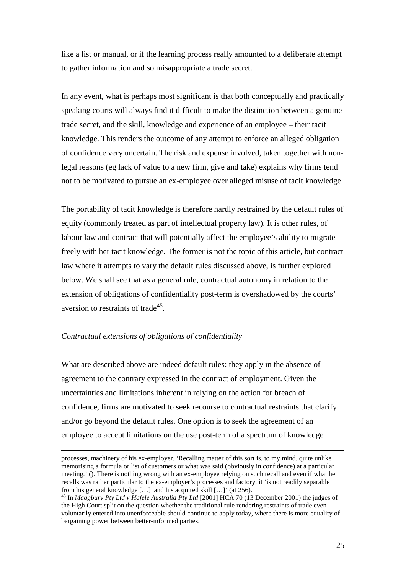like a list or manual, or if the learning process really amounted to a deliberate attempt to gather information and so misappropriate a trade secret.

In any event, what is perhaps most significant is that both conceptually and practically speaking courts will always find it difficult to make the distinction between a genuine trade secret, and the skill, knowledge and experience of an employee – their tacit knowledge. This renders the outcome of any attempt to enforce an alleged obligation of confidence very uncertain. The risk and expense involved, taken together with nonlegal reasons (eg lack of value to a new firm, give and take) explains why firms tend not to be motivated to pursue an ex-employee over alleged misuse of tacit knowledge.

The portability of tacit knowledge is therefore hardly restrained by the default rules of equity (commonly treated as part of intellectual property law). It is other rules, of labour law and contract that will potentially affect the employee's ability to migrate freely with her tacit knowledge. The former is not the topic of this article, but contract law where it attempts to vary the default rules discussed above, is further explored below. We shall see that as a general rule, contractual autonomy in relation to the extension of obligations of confidentiality post-term is overshadowed by the courts' aversion to restraints of trade<sup>45</sup>.

#### *Contractual extensions of obligations of confidentiality*

What are described above are indeed default rules: they apply in the absence of agreement to the contrary expressed in the contract of employment. Given the uncertainties and limitations inherent in relying on the action for breach of confidence, firms are motivated to seek recourse to contractual restraints that clarify and/or go beyond the default rules. One option is to seek the agreement of an employee to accept limitations on the use post-term of a spectrum of knowledge

processes, machinery of his ex-employer. 'Recalling matter of this sort is, to my mind, quite unlike memorising a formula or list of customers or what was said (obviously in confidence) at a particular meeting.' (). There is nothing wrong with an ex-employee relying on such recall and even if what he recalls was rather particular to the ex-employer's processes and factory, it 'is not readily separable from his general knowledge […] and his acquired skill […]' (at 256).

<span id="page-25-0"></span><sup>45</sup> In *Maggbury Pty Ltd v Hafele Australia Pty Ltd* [2001] HCA 70 (13 December 2001) the judges of the High Court split on the question whether the traditional rule rendering restraints of trade even voluntarily entered into unenforceable should continue to apply today, where there is more equality of bargaining power between better-informed parties.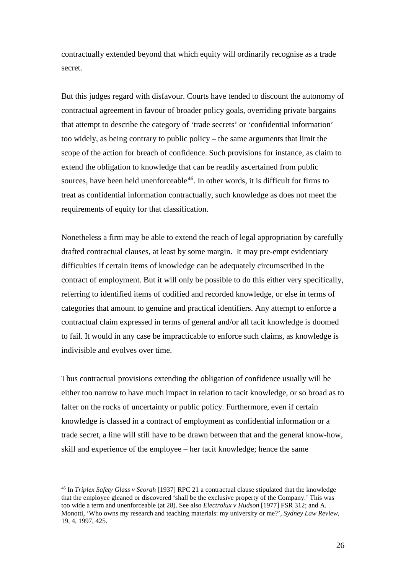contractually extended beyond that which equity will ordinarily recognise as a trade secret.

But this judges regard with disfavour. Courts have tended to discount the autonomy of contractual agreement in favour of broader policy goals, overriding private bargains that attempt to describe the category of 'trade secrets' or 'confidential information' too widely, as being contrary to public policy – the same arguments that limit the scope of the action for breach of confidence. Such provisions for instance, as claim to extend the obligation to knowledge that can be readily ascertained from public sources, have been held unenforceable  $46$ . In other words, it is difficult for firms to treat as confidential information contractually, such knowledge as does not meet the requirements of equity for that classification.

Nonetheless a firm may be able to extend the reach of legal appropriation by carefully drafted contractual clauses, at least by some margin. It may pre-empt evidentiary difficulties if certain items of knowledge can be adequately circumscribed in the contract of employment. But it will only be possible to do this either very specifically, referring to identified items of codified and recorded knowledge, or else in terms of categories that amount to genuine and practical identifiers. Any attempt to enforce a contractual claim expressed in terms of general and/or all tacit knowledge is doomed to fail. It would in any case be impracticable to enforce such claims, as knowledge is indivisible and evolves over time.

Thus contractual provisions extending the obligation of confidence usually will be either too narrow to have much impact in relation to tacit knowledge, or so broad as to falter on the rocks of uncertainty or public policy. Furthermore, even if certain knowledge is classed in a contract of employment as confidential information or a trade secret, a line will still have to be drawn between that and the general know-how, skill and experience of the employee – her tacit knowledge; hence the same

<span id="page-26-0"></span> <sup>46</sup> In *Triplex Safety Glass v Scorah* [1937] RPC 21 a contractual clause stipulated that the knowledge that the employee gleaned or discovered 'shall be the exclusive property of the Company.' This was too wide a term and unenforceable (at 28). See also *Electrolux v Hudson* [1977] FSR 312; and A. Monotti, 'Who owns my research and teaching materials: my university or me?', *Sydney Law Review*, 19, 4, 1997, 425.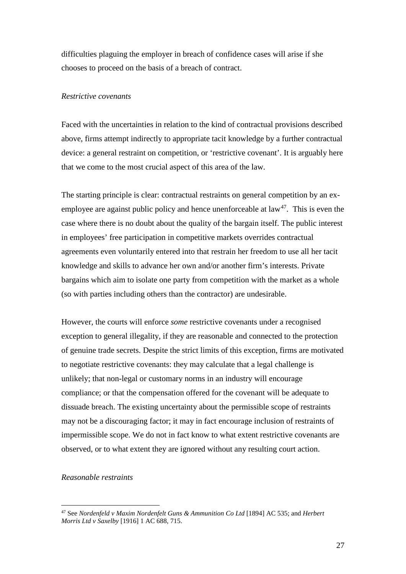difficulties plaguing the employer in breach of confidence cases will arise if she chooses to proceed on the basis of a breach of contract.

### *Restrictive covenants*

Faced with the uncertainties in relation to the kind of contractual provisions described above, firms attempt indirectly to appropriate tacit knowledge by a further contractual device: a general restraint on competition, or 'restrictive covenant'. It is arguably here that we come to the most crucial aspect of this area of the law.

The starting principle is clear: contractual restraints on general competition by an exemployee are against public policy and hence unenforceable at  $law<sup>47</sup>$  $law<sup>47</sup>$  $law<sup>47</sup>$ . This is even the case where there is no doubt about the quality of the bargain itself. The public interest in employees' free participation in competitive markets overrides contractual agreements even voluntarily entered into that restrain her freedom to use all her tacit knowledge and skills to advance her own and/or another firm's interests. Private bargains which aim to isolate one party from competition with the market as a whole (so with parties including others than the contractor) are undesirable.

However, the courts will enforce *some* restrictive covenants under a recognised exception to general illegality, if they are reasonable and connected to the protection of genuine trade secrets. Despite the strict limits of this exception, firms are motivated to negotiate restrictive covenants: they may calculate that a legal challenge is unlikely; that non-legal or customary norms in an industry will encourage compliance; or that the compensation offered for the covenant will be adequate to dissuade breach. The existing uncertainty about the permissible scope of restraints may not be a discouraging factor; it may in fact encourage inclusion of restraints of impermissible scope. We do not in fact know to what extent restrictive covenants are observed, or to what extent they are ignored without any resulting court action.

## *Reasonable restraints*

<span id="page-27-0"></span> <sup>47</sup> See *Nordenfeld v Maxim Nordenfelt Guns & Ammunition Co Ltd* [1894] AC 535; and *Herbert Morris Ltd v Saxelby* [1916] 1 AC 688, 715.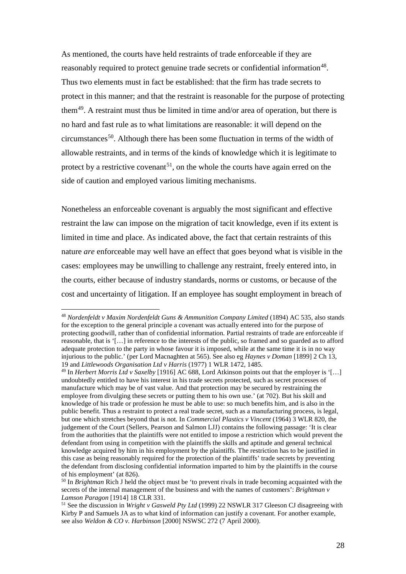As mentioned, the courts have held restraints of trade enforceable if they are reasonably required to protect genuine trade secrets or confidential information<sup>48</sup>. Thus two elements must in fact be established: that the firm has trade secrets to protect in this manner; and that the restraint is reasonable for the purpose of protecting them<sup>49</sup>. A restraint must thus be limited in time and/or area of operation, but there is no hard and fast rule as to what limitations are reasonable: it will depend on the circumstances<sup>50</sup>. Although there has been some fluctuation in terms of the width of allowable restraints, and in terms of the kinds of knowledge which it is legitimate to protect by a restrictive covenant<sup>51</sup>, on the whole the courts have again erred on the side of caution and employed various limiting mechanisms.

Nonetheless an enforceable covenant is arguably the most significant and effective restraint the law can impose on the migration of tacit knowledge, even if its extent is limited in time and place. As indicated above, the fact that certain restraints of this nature *are* enforceable may well have an effect that goes beyond what is visible in the cases: employees may be unwilling to challenge any restraint, freely entered into, in the courts, either because of industry standards, norms or customs, or because of the cost and uncertainty of litigation. If an employee has sought employment in breach of

<span id="page-28-0"></span> <sup>48</sup> *Nordenfeldt v Maxim Nordenfeldt Guns & Ammunition Company Limited* (1894) AC 535, also stands for the exception to the general principle a covenant was actually entered into for the purpose of protecting goodwill, rather than of confidential information. Partial restraints of trade are enforceable if reasonable, that is '[…] in reference to the interests of the public, so framed and so guarded as to afford adequate protection to the party in whose favour it is imposed, while at the same time it is in no way injurious to the public.' (per Lord Macnaghten at 565). See also eg *Haynes v Doman* [1899] 2 Ch 13, 19 and *Littlewoods Organisation Ltd v Harris* (1977) 1 WLR 1472, 1485.

<span id="page-28-1"></span><sup>49</sup> In *Herbert Morris Ltd v Saxelby* [1916] AC 688, Lord Atkinson points out that the employer is '[…] undoubtedly entitled to have his interest in his trade secrets protected, such as secret processes of manufacture which may be of vast value. And that protection may be secured by restraining the employee from divulging these secrets or putting them to his own use.' (at 702). But his skill and knowledge of his trade or profession he must be able to use: so much benefits him, and is also in the public benefit. Thus a restraint to protect a real trade secret, such as a manufacturing process, is legal, but one which stretches beyond that is not. In *Commercial Plastics v Vincent* (1964) 3 WLR 820, the judgement of the Court (Sellers, Pearson and Salmon LJJ) contains the following passage: 'It is clear from the authorities that the plaintiffs were not entitled to impose a restriction which would prevent the defendant from using in competition with the plaintiffs the skills and aptitude and general technical knowledge acquired by him in his employment by the plaintiffs. The restriction has to be justified in this case as being reasonably required for the protection of the plaintiffs' trade secrets by preventing the defendant from disclosing confidential information imparted to him by the plaintiffs in the course of his employment' (at 826).

<span id="page-28-2"></span><sup>&</sup>lt;sup>50</sup> In *Brightman* Rich J held the object must be 'to prevent rivals in trade becoming acquainted with the secrets of the internal management of the business and with the names of customers': *Brightman v Lamson Paragon* [1914] 18 CLR 331.

<span id="page-28-3"></span><sup>51</sup> See the discussion in *Wright v Gasweld Pty Ltd* (1999) 22 NSWLR 317 Gleeson CJ disagreeing with Kirby P and Samuels JA as to what kind of information can justify a covenant. For another example, see also *Weldon & CO v. Harbinson* [2000] NSWSC 272 (7 April 2000).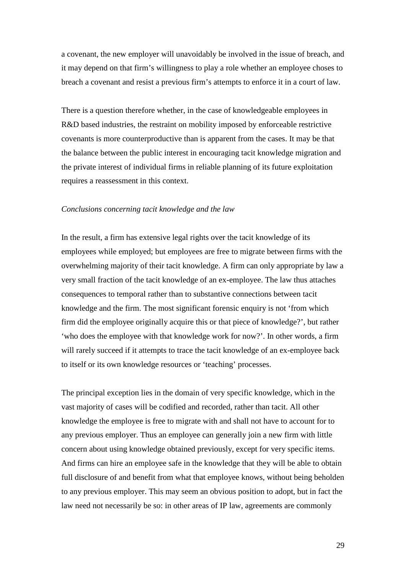a covenant, the new employer will unavoidably be involved in the issue of breach, and it may depend on that firm's willingness to play a role whether an employee choses to breach a covenant and resist a previous firm's attempts to enforce it in a court of law.

There is a question therefore whether, in the case of knowledgeable employees in R&D based industries, the restraint on mobility imposed by enforceable restrictive covenants is more counterproductive than is apparent from the cases. It may be that the balance between the public interest in encouraging tacit knowledge migration and the private interest of individual firms in reliable planning of its future exploitation requires a reassessment in this context.

#### *Conclusions concerning tacit knowledge and the law*

In the result, a firm has extensive legal rights over the tacit knowledge of its employees while employed; but employees are free to migrate between firms with the overwhelming majority of their tacit knowledge. A firm can only appropriate by law a very small fraction of the tacit knowledge of an ex-employee. The law thus attaches consequences to temporal rather than to substantive connections between tacit knowledge and the firm. The most significant forensic enquiry is not 'from which firm did the employee originally acquire this or that piece of knowledge?', but rather 'who does the employee with that knowledge work for now?'. In other words, a firm will rarely succeed if it attempts to trace the tacit knowledge of an ex-employee back to itself or its own knowledge resources or 'teaching' processes.

The principal exception lies in the domain of very specific knowledge, which in the vast majority of cases will be codified and recorded, rather than tacit. All other knowledge the employee is free to migrate with and shall not have to account for to any previous employer. Thus an employee can generally join a new firm with little concern about using knowledge obtained previously, except for very specific items. And firms can hire an employee safe in the knowledge that they will be able to obtain full disclosure of and benefit from what that employee knows, without being beholden to any previous employer. This may seem an obvious position to adopt, but in fact the law need not necessarily be so: in other areas of IP law, agreements are commonly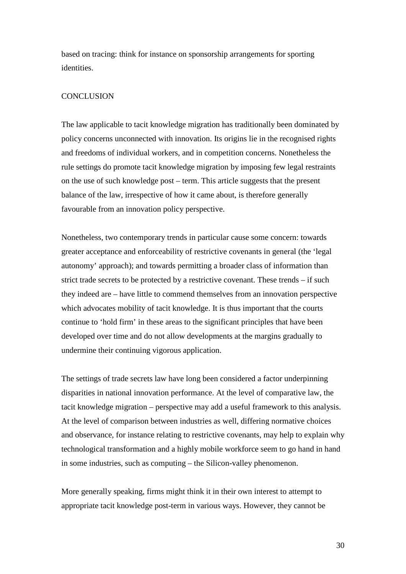based on tracing: think for instance on sponsorship arrangements for sporting identities.

## **CONCLUSION**

The law applicable to tacit knowledge migration has traditionally been dominated by policy concerns unconnected with innovation. Its origins lie in the recognised rights and freedoms of individual workers, and in competition concerns. Nonetheless the rule settings do promote tacit knowledge migration by imposing few legal restraints on the use of such knowledge post – term. This article suggests that the present balance of the law, irrespective of how it came about, is therefore generally favourable from an innovation policy perspective.

Nonetheless, two contemporary trends in particular cause some concern: towards greater acceptance and enforceability of restrictive covenants in general (the 'legal autonomy' approach); and towards permitting a broader class of information than strict trade secrets to be protected by a restrictive covenant. These trends – if such they indeed are – have little to commend themselves from an innovation perspective which advocates mobility of tacit knowledge. It is thus important that the courts continue to 'hold firm' in these areas to the significant principles that have been developed over time and do not allow developments at the margins gradually to undermine their continuing vigorous application.

The settings of trade secrets law have long been considered a factor underpinning disparities in national innovation performance. At the level of comparative law, the tacit knowledge migration – perspective may add a useful framework to this analysis. At the level of comparison between industries as well, differing normative choices and observance, for instance relating to restrictive covenants, may help to explain why technological transformation and a highly mobile workforce seem to go hand in hand in some industries, such as computing – the Silicon-valley phenomenon.

More generally speaking, firms might think it in their own interest to attempt to appropriate tacit knowledge post-term in various ways. However, they cannot be